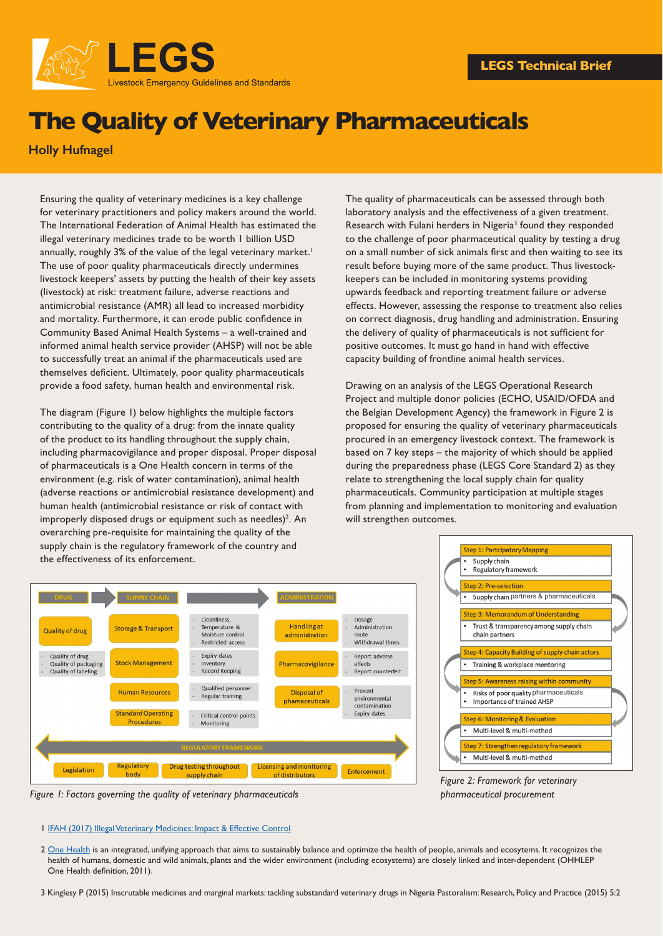

## **The Quality of Veterinary Pharmaceuticals**

**Holly Hufnagel**

Ensuring the quality of veterinary medicines is a key challenge for veterinary practitioners and policy makers around the world. The International Federation of Animal Health has estimated the illegal veterinary medicines trade to be worth 1 billion USD annually, roughly 3% of the value of the legal veterinary market.<sup>1</sup> The use of poor quality pharmaceuticals directly undermines livestock keepers' assets by putting the health of their key assets (livestock) at risk: treatment failure, adverse reactions and antimicrobial resistance (AMR) all lead to increased morbidity and mortality. Furthermore, it can erode public confidence in Community Based Animal Health Systems – a well-trained and informed animal health service provider (AHSP) will not be able to successfully treat an animal if the pharmaceuticals used are themselves deficient. Ultimately, poor quality pharmaceuticals provide a food safety, human health and environmental risk.

The diagram (Figure 1) below highlights the multiple factors contributing to the quality of a drug: from the innate quality of the product to its handling throughout the supply chain, including pharmacovigilance and proper disposal. Proper disposal of pharmaceuticals is a One Health concern in terms of the environment (e.g. risk of water contamination), animal health (adverse reactions or antimicrobial resistance development) and human health (antimicrobial resistance or risk of contact with improperly disposed drugs or equipment such as needles)<sup>2</sup>. An overarching pre-requisite for maintaining the quality of the supply chain is the regulatory framework of the country and the effectiveness of its enforcement.

The quality of pharmaceuticals can be assessed through both laboratory analysis and the effectiveness of a given treatment. Research with Fulani herders in Nigeria<sup>3</sup> found they responded to the challenge of poor pharmaceutical quality by testing a drug on a small number of sick animals first and then waiting to see its result before buying more of the same product. Thus livestockkeepers can be included in monitoring systems providing upwards feedback and reporting treatment failure or adverse effects. However, assessing the response to treatment also relies on correct diagnosis, drug handling and administration. Ensuring the delivery of quality of pharmaceuticals is not sufficient for positive outcomes. It must go hand in hand with effective capacity building of frontline animal health services.

Drawing on an analysis of the LEGS Operational Research Project and multiple donor policies (ECHO, USAID/OFDA and the Belgian Development Agency) the framework in Figure 2 is proposed for ensuring the quality of veterinary pharmaceuticals procured in an emergency livestock context. The framework is based on 7 key steps – the majority of which should be applied during the preparedness phase (LEGS Core Standard 2) as they relate to strengthening the local supply chain for quality pharmaceuticals. Community participation at multiple stages from planning and implementation to monitoring and evaluation will strengthen outcomes.





*Figure 2: Framework for veterinary pharmaceutical procurement*



1 [IFAH \(2017\) Illegal Veterinary Medicines: Impact & Effective Control](https://www.healthforanimals.org/reports/global-pet-health-report-2022/global-trends-in-the-pet-population/)

2 [One Health](https://www.fao.org/one-health/en) is an integrated, unifying approach that aims to sustainably balance and optimize the health of people, animals and ecosytems. It recognizes the health of humans, domestic and wild animals, plants and the wider environment (including ecosystems) are closely linked and inter-dependent (OHHLEP One Health definition, 2011).

3 Kinglesy P (2015) Inscrutable medicines and marginal markets: tackling substandard veterinary drugs in Nigeria Pastoralism: Research, Policy and Practice (2015) 5:2